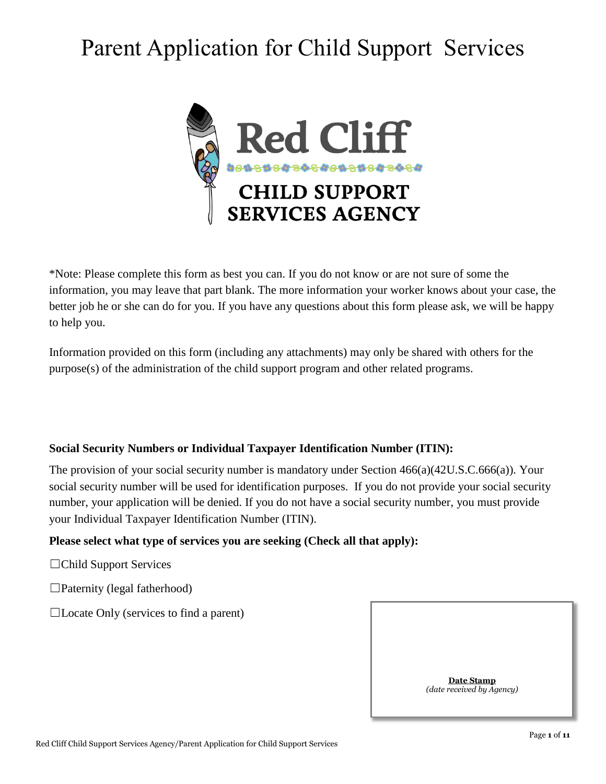# Parent Application for Child Support Services



\*Note: Please complete this form as best you can. If you do not know or are not sure of some the information, you may leave that part blank. The more information your worker knows about your case, the better job he or she can do for you. If you have any questions about this form please ask, we will be happy to help you.

Information provided on this form (including any attachments) may only be shared with others for the purpose(s) of the administration of the child support program and other related programs.

# **Social Security Numbers or Individual Taxpayer Identification Number (ITIN):**

The provision of your social security number is mandatory under Section 466(a)(42U.S.C.666(a)). Your social security number will be used for identification purposes. If you do not provide your social security number, your application will be denied. If you do not have a social security number, you must provide your Individual Taxpayer Identification Number (ITIN).

# **Please select what type of services you are seeking (Check all that apply):**

☐Child Support Services

 $\Box$ Paternity (legal fatherhood)

 $\Box$ Locate Only (services to find a parent)

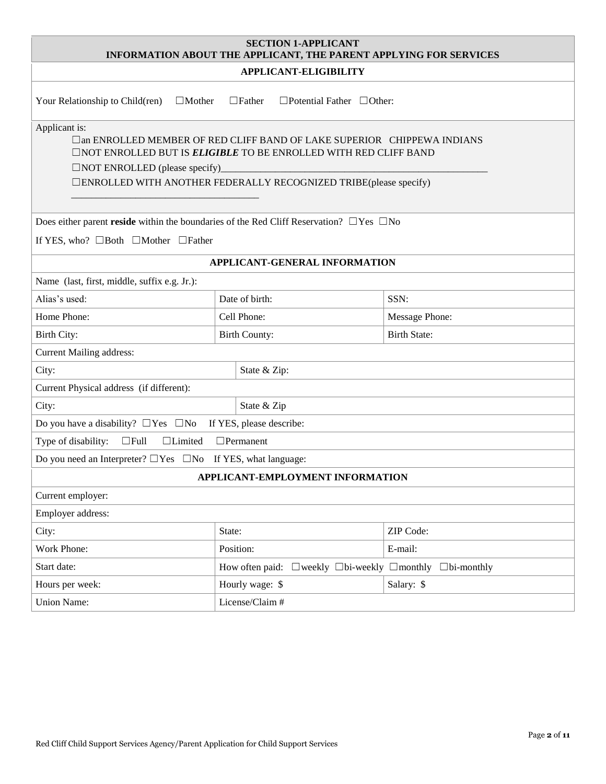| <b>SECTION 1-APPLICANT</b><br>INFORMATION ABOUT THE APPLICANT, THE PARENT APPLYING FOR SERVICES                                                                                                                                                                                        |                                                             |                     |  |  |  |
|----------------------------------------------------------------------------------------------------------------------------------------------------------------------------------------------------------------------------------------------------------------------------------------|-------------------------------------------------------------|---------------------|--|--|--|
|                                                                                                                                                                                                                                                                                        | APPLICANT-ELIGIBILITY                                       |                     |  |  |  |
| Your Relationship to Child(ren)<br>$\Box$ Mother                                                                                                                                                                                                                                       | $\Box$ Father<br>$\Box$ Potential Father $\Box$ Other:      |                     |  |  |  |
| Applicant is:<br>$\Box$ an ENROLLED MEMBER OF RED CLIFF BAND OF LAKE SUPERIOR CHIPPEWA INDIANS<br><b>ONOT ENROLLED BUT IS ELIGIBLE TO BE ENROLLED WITH RED CLIFF BAND</b><br>$\Box$ NOT ENROLLED (please specify)<br>□ENROLLED WITH ANOTHER FEDERALLY RECOGNIZED TRIBE(please specify) |                                                             |                     |  |  |  |
| Does either parent reside within the boundaries of the Red Cliff Reservation? $\square$ Yes $\square$ No                                                                                                                                                                               |                                                             |                     |  |  |  |
| If YES, who? $\Box$ Both $\Box$ Mother $\Box$ Father                                                                                                                                                                                                                                   |                                                             |                     |  |  |  |
|                                                                                                                                                                                                                                                                                        | APPLICANT-GENERAL INFORMATION                               |                     |  |  |  |
| Name (last, first, middle, suffix e.g. Jr.):                                                                                                                                                                                                                                           |                                                             |                     |  |  |  |
| Alias's used:                                                                                                                                                                                                                                                                          | Date of birth:<br>SSN:                                      |                     |  |  |  |
| Home Phone:                                                                                                                                                                                                                                                                            | Cell Phone:<br>Message Phone:                               |                     |  |  |  |
| Birth City:                                                                                                                                                                                                                                                                            | <b>Birth County:</b>                                        | <b>Birth State:</b> |  |  |  |
| <b>Current Mailing address:</b>                                                                                                                                                                                                                                                        |                                                             |                     |  |  |  |
| City:<br>State & Zip:                                                                                                                                                                                                                                                                  |                                                             |                     |  |  |  |
| Current Physical address (if different):                                                                                                                                                                                                                                               |                                                             |                     |  |  |  |
| State & Zip<br>City:                                                                                                                                                                                                                                                                   |                                                             |                     |  |  |  |
| Do you have a disability? $\Box$ Yes $\Box$ No<br>If YES, please describe:                                                                                                                                                                                                             |                                                             |                     |  |  |  |
| $\Box$ Permanent<br>Type of disability:<br>$\Box$ Full<br>$\Box$ Limited                                                                                                                                                                                                               |                                                             |                     |  |  |  |
| Do you need an Interpreter? $\Box$ Yes $\Box$ No If YES, what language:                                                                                                                                                                                                                |                                                             |                     |  |  |  |
| APPLICANT-EMPLOYMENT INFORMATION                                                                                                                                                                                                                                                       |                                                             |                     |  |  |  |
| Current employer:                                                                                                                                                                                                                                                                      |                                                             |                     |  |  |  |
| Employer address:                                                                                                                                                                                                                                                                      |                                                             |                     |  |  |  |
| City:                                                                                                                                                                                                                                                                                  | State:                                                      | ZIP Code:           |  |  |  |
| Work Phone:                                                                                                                                                                                                                                                                            | Position:                                                   | E-mail:             |  |  |  |
| Start date:                                                                                                                                                                                                                                                                            | How often paid: □ weekly □ bi-weekly □ monthly □ bi-monthly |                     |  |  |  |
| Hours per week:                                                                                                                                                                                                                                                                        | Hourly wage: \$                                             | Salary: \$          |  |  |  |
| License/Claim #<br><b>Union Name:</b>                                                                                                                                                                                                                                                  |                                                             |                     |  |  |  |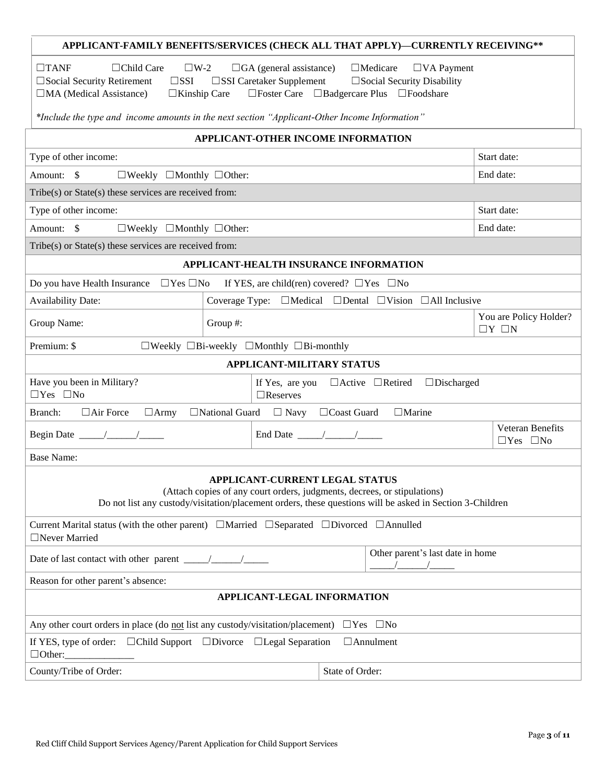| APPLICANT-FAMILY BENEFITS/SERVICES (CHECK ALL THAT APPLY)-CURRENTLY RECEIVING**                                                                                                                                                                                                                                                                                      |                                                                                               |             |  |  |
|----------------------------------------------------------------------------------------------------------------------------------------------------------------------------------------------------------------------------------------------------------------------------------------------------------------------------------------------------------------------|-----------------------------------------------------------------------------------------------|-------------|--|--|
| $\Box$ Child Care<br>$\Box$ Medicare<br>$\Box$ TANF<br>$\square$ W-2<br>$\Box$ GA (general assistance)<br>$\Box$ VA Payment<br>$\square$ SSI Caretaker Supplement $\square$ Social Security Disability<br>$\square$ SSI<br>$\square$ Social Security Retirement<br>□Foster Care □Badgercare Plus □Foodshare<br>$\Box$ MA (Medical Assistance)<br>$\Box$ Kinship Care |                                                                                               |             |  |  |
|                                                                                                                                                                                                                                                                                                                                                                      | *Include the type and income amounts in the next section "Applicant-Other Income Information" |             |  |  |
|                                                                                                                                                                                                                                                                                                                                                                      | APPLICANT-OTHER INCOME INFORMATION                                                            |             |  |  |
| Type of other income:                                                                                                                                                                                                                                                                                                                                                |                                                                                               | Start date: |  |  |
| Amount: \$<br>$\Box$ Weekly $\Box$ Monthly $\Box$ Other:                                                                                                                                                                                                                                                                                                             |                                                                                               | End date:   |  |  |
| $Tribe(s)$ or $State(s)$ these services are received from:                                                                                                                                                                                                                                                                                                           |                                                                                               |             |  |  |
| Type of other income:                                                                                                                                                                                                                                                                                                                                                |                                                                                               | Start date: |  |  |
| Amount: \$<br>$\Box$ Weekly $\Box$ Monthly $\Box$ Other:                                                                                                                                                                                                                                                                                                             |                                                                                               | End date:   |  |  |
| Tribe(s) or State(s) these services are received from:                                                                                                                                                                                                                                                                                                               |                                                                                               |             |  |  |
|                                                                                                                                                                                                                                                                                                                                                                      | APPLICANT-HEALTH INSURANCE INFORMATION                                                        |             |  |  |
| Do you have Health Insurance $\Box$ Yes $\Box$ No                                                                                                                                                                                                                                                                                                                    | If YES, are child(ren) covered? $\Box$ Yes $\Box$ No                                          |             |  |  |
| <b>Availability Date:</b>                                                                                                                                                                                                                                                                                                                                            | Coverage Type: $\Box$ Medical $\Box$ Dental $\Box$ Vision $\Box$ All Inclusive                |             |  |  |
| You are Policy Holder?<br>Group Name:<br>Group #:<br>$\Box Y \Box N$                                                                                                                                                                                                                                                                                                 |                                                                                               |             |  |  |
| Premium: \$                                                                                                                                                                                                                                                                                                                                                          | $\Box$ Weekly $\Box$ Bi-weekly $\Box$ Monthly $\Box$ Bi-monthly                               |             |  |  |
|                                                                                                                                                                                                                                                                                                                                                                      | <b>APPLICANT-MILITARY STATUS</b>                                                              |             |  |  |
| Have you been in Military?<br>If Yes, are you $\Box$ Active $\Box$ Retired<br>$\Box$ Discharged<br>$\Box$ Yes $\Box$ No<br>$\Box$ Reserves                                                                                                                                                                                                                           |                                                                                               |             |  |  |
| $\Box$ Air Force $\Box$ Army<br>Branch:                                                                                                                                                                                                                                                                                                                              | $\Box$ Marine<br>$\Box$ National Guard $\Box$ Navy $\Box$ Coast Guard                         |             |  |  |
| <b>Veteran Benefits</b><br>End Date $\frac{\sqrt{2}}{2}$<br>$\Box$ Yes $\Box$ No                                                                                                                                                                                                                                                                                     |                                                                                               |             |  |  |
| <b>Base Name:</b>                                                                                                                                                                                                                                                                                                                                                    |                                                                                               |             |  |  |
| <b>APPLICANT-CURRENT LEGAL STATUS</b><br>(Attach copies of any court orders, judgments, decrees, or stipulations)<br>Do not list any custody/visitation/placement orders, these questions will be asked in Section 3-Children                                                                                                                                        |                                                                                               |             |  |  |
| Current Marital status (with the other parent) $\Box$ Married $\Box$ Separated $\Box$ Divorced $\Box$ Annulled<br>□Never Married                                                                                                                                                                                                                                     |                                                                                               |             |  |  |
| Other parent's last date in home                                                                                                                                                                                                                                                                                                                                     |                                                                                               |             |  |  |
| Reason for other parent's absence:                                                                                                                                                                                                                                                                                                                                   |                                                                                               |             |  |  |
| APPLICANT-LEGAL INFORMATION                                                                                                                                                                                                                                                                                                                                          |                                                                                               |             |  |  |
| Any other court orders in place (do not list any custody/visitation/placement)<br>$\Box$ Yes $\Box$ No                                                                                                                                                                                                                                                               |                                                                                               |             |  |  |
| If YES, type of order: $\Box$ Child Support $\Box$ Divorce $\Box$ Legal Separation<br>$\Box$ Annulment<br>$\Box$ Other:                                                                                                                                                                                                                                              |                                                                                               |             |  |  |
| County/Tribe of Order:                                                                                                                                                                                                                                                                                                                                               | State of Order:                                                                               |             |  |  |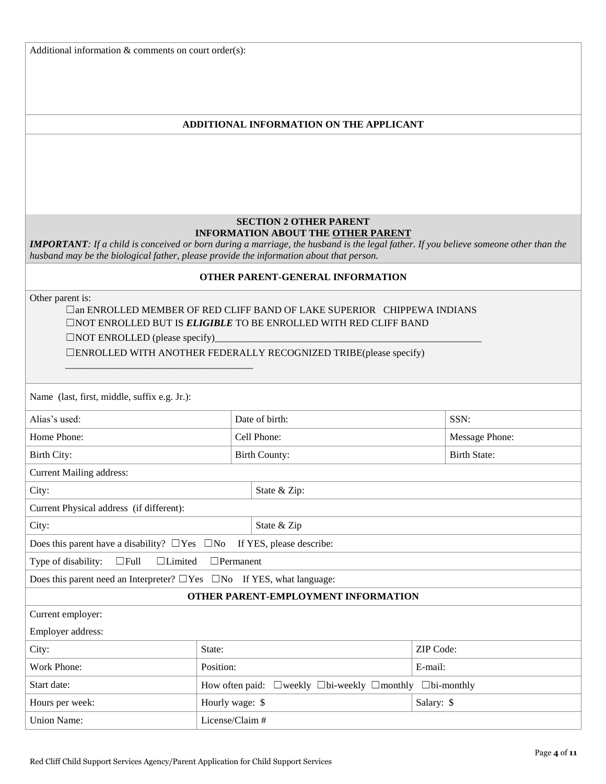Additional information & comments on court order(s):

### **ADDITIONAL INFORMATION ON THE APPLICANT**

### **SECTION 2 OTHER PARENT INFORMATION ABOUT THE OTHER PARENT**

*IMPORTANT: If a child is conceived or born during a marriage, the husband is the legal father. If you believe someone other than the husband may be the biological father, please provide the information about that person.* 

### **OTHER PARENT-GENERAL INFORMATION**

Other parent is:

# □an ENROLLED MEMBER OF RED CLIFF BAND OF LAKE SUPERIOR CHIPPEWA INDIANS ☐NOT ENROLLED BUT IS *ELIGIBLE* TO BE ENROLLED WITH RED CLIFF BAND

 $\Box$ NOT ENROLLED (please specify)\_

\_\_\_\_\_\_\_\_\_\_\_\_\_\_\_\_\_\_\_\_\_\_\_\_\_\_\_\_\_\_\_\_\_\_\_\_\_\_

☐ENROLLED WITH ANOTHER FEDERALLY RECOGNIZED TRIBE(please specify)

| Name (last, first, middle, suffix e.g. Jr.):                                      |                                                                                             |                          |                     |  |
|-----------------------------------------------------------------------------------|---------------------------------------------------------------------------------------------|--------------------------|---------------------|--|
| Alias's used:                                                                     |                                                                                             | Date of birth:           | SSN:                |  |
| Home Phone:                                                                       |                                                                                             | Cell Phone:              | Message Phone:      |  |
| Birth City:                                                                       |                                                                                             | <b>Birth County:</b>     | <b>Birth State:</b> |  |
| <b>Current Mailing address:</b>                                                   |                                                                                             |                          |                     |  |
| City:                                                                             |                                                                                             | State & Zip:             |                     |  |
| Current Physical address (if different):                                          |                                                                                             |                          |                     |  |
| City:                                                                             |                                                                                             | State & Zip              |                     |  |
| Does this parent have a disability? $\Box$ Yes $\Box$ No                          |                                                                                             | If YES, please describe: |                     |  |
| $\Box$ Full<br>$\Box$ Permanent<br>Type of disability:<br>$\Box$ Limited          |                                                                                             |                          |                     |  |
| Does this parent need an Interpreter? $\Box$ Yes $\Box$ No If YES, what language: |                                                                                             |                          |                     |  |
| OTHER PARENT-EMPLOYMENT INFORMATION                                               |                                                                                             |                          |                     |  |
| Current employer:                                                                 |                                                                                             |                          |                     |  |
| Employer address:                                                                 |                                                                                             |                          |                     |  |
| City:                                                                             | State:<br>ZIP Code:                                                                         |                          |                     |  |
| Work Phone:                                                                       | Position:<br>E-mail:                                                                        |                          |                     |  |
| Start date:                                                                       | How often paid: $\square$ weekly $\square$ bi-weekly $\square$ monthly $\square$ bi-monthly |                          |                     |  |
| Hours per week:                                                                   | Hourly wage: \$<br>Salary: \$                                                               |                          |                     |  |
| <b>Union Name:</b>                                                                | License/Claim #                                                                             |                          |                     |  |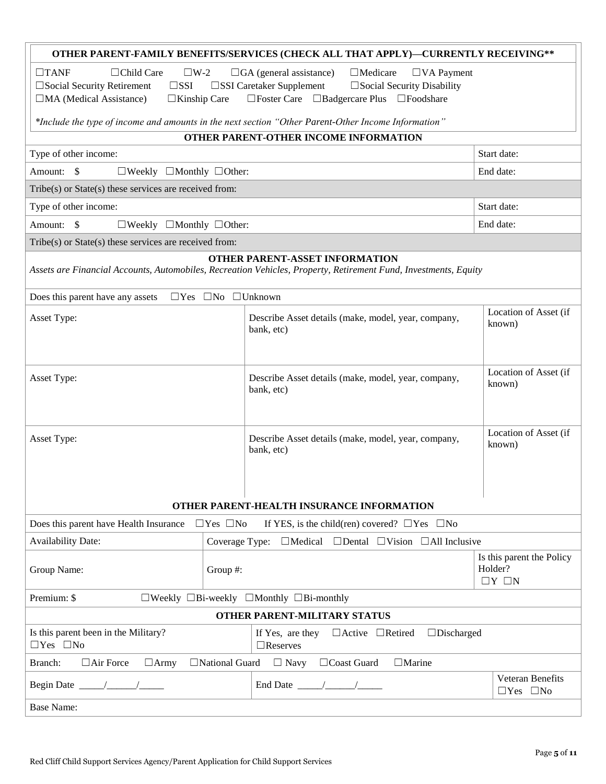| OTHER PARENT-FAMILY BENEFITS/SERVICES (CHECK ALL THAT APPLY)-CURRENTLY RECEIVING**                                                                       |          |                                                                                                                                                          |                                          |  |  |  |
|----------------------------------------------------------------------------------------------------------------------------------------------------------|----------|----------------------------------------------------------------------------------------------------------------------------------------------------------|------------------------------------------|--|--|--|
| $\Box$ Child Care<br>$\square$ W-2<br>$\Box$ GA (general assistance)<br>$\Box$ Medicare<br>$\square$ VA Payment<br>$\Box$ TANF                           |          |                                                                                                                                                          |                                          |  |  |  |
| $\square$ SSI<br>□ Social Security Retirement                                                                                                            |          | $\square$ SSI Caretaker Supplement<br>$\square$ Social Security Disability                                                                               |                                          |  |  |  |
| $\Box$ MA (Medical Assistance)<br>$\Box$ Kinship Care                                                                                                    |          | □Foster Care □Badgercare Plus □Foodshare                                                                                                                 |                                          |  |  |  |
|                                                                                                                                                          |          | *Include the type of income and amounts in the next section "Other Parent-Other Income Information"                                                      |                                          |  |  |  |
|                                                                                                                                                          |          | OTHER PARENT-OTHER INCOME INFORMATION                                                                                                                    |                                          |  |  |  |
| Type of other income:                                                                                                                                    |          |                                                                                                                                                          | Start date:                              |  |  |  |
| Amount: \$<br>$\Box$ Weekly $\Box$ Monthly $\Box$ Other:                                                                                                 |          |                                                                                                                                                          | End date:                                |  |  |  |
| Tribe(s) or State(s) these services are received from:                                                                                                   |          |                                                                                                                                                          |                                          |  |  |  |
| Type of other income:                                                                                                                                    |          |                                                                                                                                                          | Start date:                              |  |  |  |
| Amount: \$<br>$\Box$ Weekly $\Box$ Monthly $\Box$ Other:                                                                                                 |          |                                                                                                                                                          | End date:                                |  |  |  |
| Tribe(s) or State(s) these services are received from:                                                                                                   |          |                                                                                                                                                          |                                          |  |  |  |
|                                                                                                                                                          |          | <b>OTHER PARENT-ASSET INFORMATION</b><br>Assets are Financial Accounts, Automobiles, Recreation Vehicles, Property, Retirement Fund, Investments, Equity |                                          |  |  |  |
|                                                                                                                                                          |          |                                                                                                                                                          |                                          |  |  |  |
| Does this parent have any assets<br>$\Box$ Yes $\Box$ No $\Box$ Unknown                                                                                  |          |                                                                                                                                                          | Location of Asset (if                    |  |  |  |
| Asset Type:                                                                                                                                              |          | Describe Asset details (make, model, year, company,<br>bank, etc)                                                                                        | known)                                   |  |  |  |
|                                                                                                                                                          |          |                                                                                                                                                          |                                          |  |  |  |
|                                                                                                                                                          |          |                                                                                                                                                          |                                          |  |  |  |
| Location of Asset (if<br>Asset Type:<br>Describe Asset details (make, model, year, company,                                                              |          |                                                                                                                                                          |                                          |  |  |  |
|                                                                                                                                                          | known)   |                                                                                                                                                          |                                          |  |  |  |
|                                                                                                                                                          |          |                                                                                                                                                          |                                          |  |  |  |
| Location of Asset (if                                                                                                                                    |          |                                                                                                                                                          |                                          |  |  |  |
| Asset Type:                                                                                                                                              |          | Describe Asset details (make, model, year, company,<br>bank, etc)                                                                                        | known)                                   |  |  |  |
|                                                                                                                                                          |          |                                                                                                                                                          |                                          |  |  |  |
|                                                                                                                                                          |          |                                                                                                                                                          |                                          |  |  |  |
|                                                                                                                                                          |          |                                                                                                                                                          |                                          |  |  |  |
|                                                                                                                                                          |          | OTHER PARENT-HEALTH INSURANCE INFORMATION                                                                                                                |                                          |  |  |  |
| Does this parent have Health Insurance $\Box$ Yes $\Box$ No<br>If YES, is the child(ren) covered? $\Box$ Yes $\Box$ No                                   |          |                                                                                                                                                          |                                          |  |  |  |
| <b>Availability Date:</b><br>Coverage Type:<br>$\Box$ Medical $\Box$ Dental $\Box$ Vision $\Box$ All Inclusive                                           |          |                                                                                                                                                          |                                          |  |  |  |
| Group Name:                                                                                                                                              | Group #: |                                                                                                                                                          | Is this parent the Policy<br>Holder?     |  |  |  |
|                                                                                                                                                          |          |                                                                                                                                                          | $\Box Y \Box N$                          |  |  |  |
| Premium: \$<br>$\Box$ Weekly $\Box$ Bi-weekly $\Box$ Monthly $\Box$ Bi-monthly                                                                           |          |                                                                                                                                                          |                                          |  |  |  |
| OTHER PARENT-MILITARY STATUS                                                                                                                             |          |                                                                                                                                                          |                                          |  |  |  |
| Is this parent been in the Military?<br>If Yes, are they<br>$\Box$ Active $\Box$ Retired<br>$\Box$ Discharged<br>$\Box$ Yes $\Box$ No<br>$\Box$ Reserves |          |                                                                                                                                                          |                                          |  |  |  |
| □National Guard<br>$\Box$ Navy<br>□Coast Guard<br>$\Box$ Air Force<br>$\Box$ Marine<br>Branch:<br>$\Box$ Army                                            |          |                                                                                                                                                          |                                          |  |  |  |
|                                                                                                                                                          |          | End Date $\frac{\sqrt{2}}{2}$                                                                                                                            | Veteran Benefits<br>$\Box$ Yes $\Box$ No |  |  |  |
| <b>Base Name:</b>                                                                                                                                        |          |                                                                                                                                                          |                                          |  |  |  |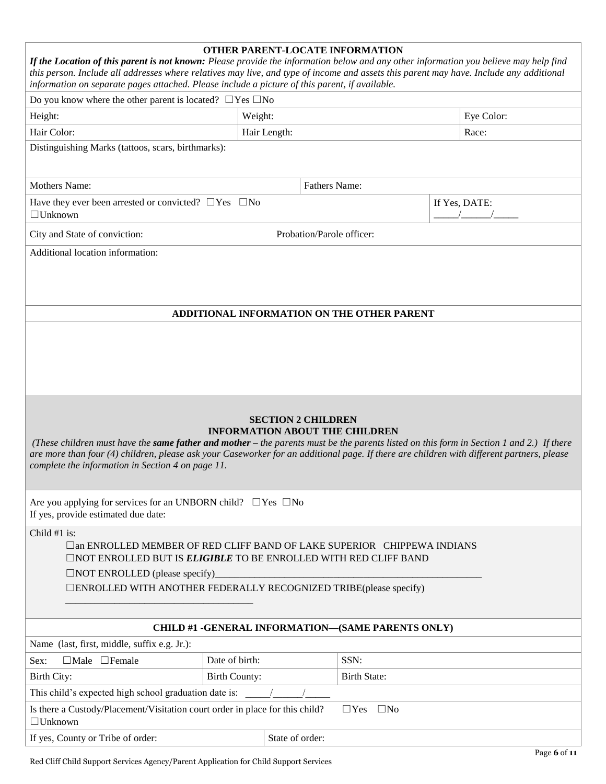| OTHER PARENT-LOCATE INFORMATION<br>If the Location of this parent is not known: Please provide the information below and any other information you believe may help find<br>this person. Include all addresses where relatives may live, and type of income and assets this parent may have. Include any additional<br>information on separate pages attached. Please include a picture of this parent, if available. |                      |                           |                                            |               |  |
|-----------------------------------------------------------------------------------------------------------------------------------------------------------------------------------------------------------------------------------------------------------------------------------------------------------------------------------------------------------------------------------------------------------------------|----------------------|---------------------------|--------------------------------------------|---------------|--|
| Do you know where the other parent is located? $\Box$ Yes $\Box$ No                                                                                                                                                                                                                                                                                                                                                   |                      |                           |                                            |               |  |
| Height:                                                                                                                                                                                                                                                                                                                                                                                                               | Weight:              |                           |                                            | Eye Color:    |  |
| Hair Color:                                                                                                                                                                                                                                                                                                                                                                                                           |                      | Hair Length:              |                                            | Race:         |  |
| Distinguishing Marks (tattoos, scars, birthmarks):                                                                                                                                                                                                                                                                                                                                                                    |                      |                           |                                            |               |  |
| <b>Mothers Name:</b>                                                                                                                                                                                                                                                                                                                                                                                                  |                      | <b>Fathers Name:</b>      |                                            |               |  |
| Have they ever been arrested or convicted? $\Box$ Yes $\Box$ No<br>$\Box$ Unknown                                                                                                                                                                                                                                                                                                                                     |                      |                           |                                            | If Yes, DATE: |  |
| City and State of conviction:                                                                                                                                                                                                                                                                                                                                                                                         |                      | Probation/Parole officer: |                                            |               |  |
| Additional location information:                                                                                                                                                                                                                                                                                                                                                                                      |                      |                           | ADDITIONAL INFORMATION ON THE OTHER PARENT |               |  |
|                                                                                                                                                                                                                                                                                                                                                                                                                       |                      |                           |                                            |               |  |
| <b>SECTION 2 CHILDREN</b><br><b>INFORMATION ABOUT THE CHILDREN</b><br>(These children must have the same father and mother – the parents must be the parents listed on this form in Section 1 and 2.) If there<br>are more than four (4) children, please ask your Caseworker for an additional page. If there are children with different partners, please<br>complete the information in Section 4 on page 11.      |                      |                           |                                            |               |  |
| Are you applying for services for an UNBORN child? $\Box$ Yes $\Box$ No<br>If yes, provide estimated due date:                                                                                                                                                                                                                                                                                                        |                      |                           |                                            |               |  |
| Child #1 is:<br>□an ENROLLED MEMBER OF RED CLIFF BAND OF LAKE SUPERIOR CHIPPEWA INDIANS<br><b>ONOT ENROLLED BUT IS ELIGIBLE TO BE ENROLLED WITH RED CLIFF BAND</b><br>$\Box$ NOT ENROLLED (please specify)<br>□ENROLLED WITH ANOTHER FEDERALLY RECOGNIZED TRIBE(please specify)                                                                                                                                       |                      |                           |                                            |               |  |
| <b>CHILD #1 -GENERAL INFORMATION-(SAME PARENTS ONLY)</b>                                                                                                                                                                                                                                                                                                                                                              |                      |                           |                                            |               |  |
| Name (last, first, middle, suffix e.g. Jr.):                                                                                                                                                                                                                                                                                                                                                                          |                      |                           |                                            |               |  |
| Date of birth:<br>SSN:<br>$\Box$ Male $\Box$ Female<br>Sex:                                                                                                                                                                                                                                                                                                                                                           |                      |                           |                                            |               |  |
| Birth City:                                                                                                                                                                                                                                                                                                                                                                                                           | <b>Birth County:</b> |                           | <b>Birth State:</b>                        |               |  |
| This child's expected high school graduation date is:                                                                                                                                                                                                                                                                                                                                                                 |                      |                           |                                            |               |  |
| Is there a Custody/Placement/Visitation court order in place for this child?<br>$\Box$ Yes<br>$\square$ No<br>$\Box$ Unknown                                                                                                                                                                                                                                                                                          |                      |                           |                                            |               |  |
| State of order:<br>If yes, County or Tribe of order:                                                                                                                                                                                                                                                                                                                                                                  |                      |                           |                                            |               |  |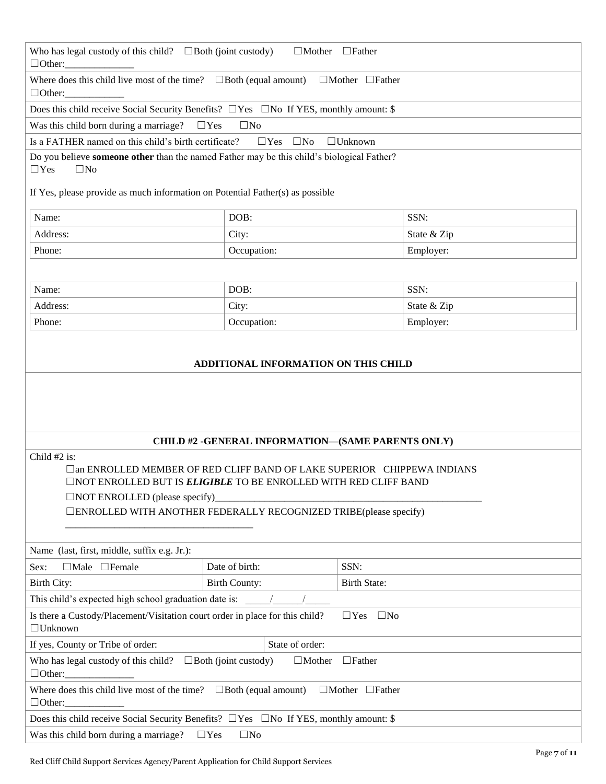| Who has legal custody of this child? $\Box$ Both (joint custody)<br>$\Box$ Mother $\Box$ Father                                                       |                                                   |                      |  |  |  |
|-------------------------------------------------------------------------------------------------------------------------------------------------------|---------------------------------------------------|----------------------|--|--|--|
| $\Box$ Other: $\_\_\_\_\_\_\_\_\_\_\_\_\_\_\_$<br>Where does this child live most of the time? $\Box$ Both (equal amount) $\Box$ Mother $\Box$ Father |                                                   |                      |  |  |  |
| $\Box$ Other:                                                                                                                                         |                                                   |                      |  |  |  |
| Does this child receive Social Security Benefits? $\Box$ Yes $\Box$ No If YES, monthly amount: \$                                                     |                                                   |                      |  |  |  |
| Was this child born during a marriage?                                                                                                                | $\Box$ Yes<br>$\square$ No                        |                      |  |  |  |
| Is a FATHER named on this child's birth certificate?                                                                                                  | $\Box$ Yes $\Box$ No                              | $\Box$ Unknown       |  |  |  |
| Do you believe someone other than the named Father may be this child's biological Father?<br>$\Box$ Yes<br>$\square$ No                               |                                                   |                      |  |  |  |
| If Yes, please provide as much information on Potential Father(s) as possible                                                                         |                                                   |                      |  |  |  |
|                                                                                                                                                       |                                                   |                      |  |  |  |
| Name:                                                                                                                                                 | DOB:                                              | SSN:                 |  |  |  |
| Address:                                                                                                                                              | City:                                             | State & Zip          |  |  |  |
| Phone:                                                                                                                                                | Occupation:                                       | Employer:            |  |  |  |
|                                                                                                                                                       |                                                   |                      |  |  |  |
| Name:                                                                                                                                                 | DOB:                                              | SSN:                 |  |  |  |
| Address:                                                                                                                                              | City:                                             | State & Zip          |  |  |  |
| Phone:                                                                                                                                                | Occupation:                                       | Employer:            |  |  |  |
|                                                                                                                                                       |                                                   |                      |  |  |  |
|                                                                                                                                                       |                                                   |                      |  |  |  |
|                                                                                                                                                       | ADDITIONAL INFORMATION ON THIS CHILD              |                      |  |  |  |
|                                                                                                                                                       |                                                   |                      |  |  |  |
|                                                                                                                                                       |                                                   |                      |  |  |  |
|                                                                                                                                                       |                                                   |                      |  |  |  |
|                                                                                                                                                       | CHILD #2 -GENERAL INFORMATION-(SAME PARENTS ONLY) |                      |  |  |  |
| Child #2 is:                                                                                                                                          |                                                   |                      |  |  |  |
| □an ENROLLED MEMBER OF RED CLIFF BAND OF LAKE SUPERIOR CHIPPEWA INDIANS                                                                               |                                                   |                      |  |  |  |
| <b>ONOT ENROLLED BUT IS ELIGIBLE TO BE ENROLLED WITH RED CLIFF BAND</b>                                                                               |                                                   |                      |  |  |  |
| $\Box$ NOT ENROLLED (please specify)                                                                                                                  |                                                   |                      |  |  |  |
| □ENROLLED WITH ANOTHER FEDERALLY RECOGNIZED TRIBE(please specify)                                                                                     |                                                   |                      |  |  |  |
|                                                                                                                                                       |                                                   |                      |  |  |  |
| Name (last, first, middle, suffix e.g. Jr.):                                                                                                          |                                                   |                      |  |  |  |
| SSN:<br>Date of birth:<br>$\Box$ Male $\Box$ Female<br>Sex:                                                                                           |                                                   |                      |  |  |  |
| Birth City:                                                                                                                                           | <b>Birth County:</b>                              | <b>Birth State:</b>  |  |  |  |
| This child's expected high school graduation date is:                                                                                                 |                                                   |                      |  |  |  |
| Is there a Custody/Placement/Visitation court order in place for this child?                                                                          |                                                   | $\Box$ Yes $\Box$ No |  |  |  |
| $\Box$ Unknown                                                                                                                                        |                                                   |                      |  |  |  |
| If yes, County or Tribe of order:<br>State of order:                                                                                                  |                                                   |                      |  |  |  |
| Who has legal custody of this child? $\Box$ Both (joint custody)<br>$\Box$ Mother<br>$\Box$ Father<br>$\Box$ Other:                                   |                                                   |                      |  |  |  |
| Where does this child live most of the time? $\Box$ Both (equal amount)<br>$\Box$ Mother $\Box$ Father                                                |                                                   |                      |  |  |  |
| $\Box$ Other:                                                                                                                                         |                                                   |                      |  |  |  |
| Does this child receive Social Security Benefits? $\Box$ Yes $\Box$ No If YES, monthly amount: \$                                                     |                                                   |                      |  |  |  |
| Was this child born during a marriage?<br>$\square$ No<br>$\Box$ Yes                                                                                  |                                                   |                      |  |  |  |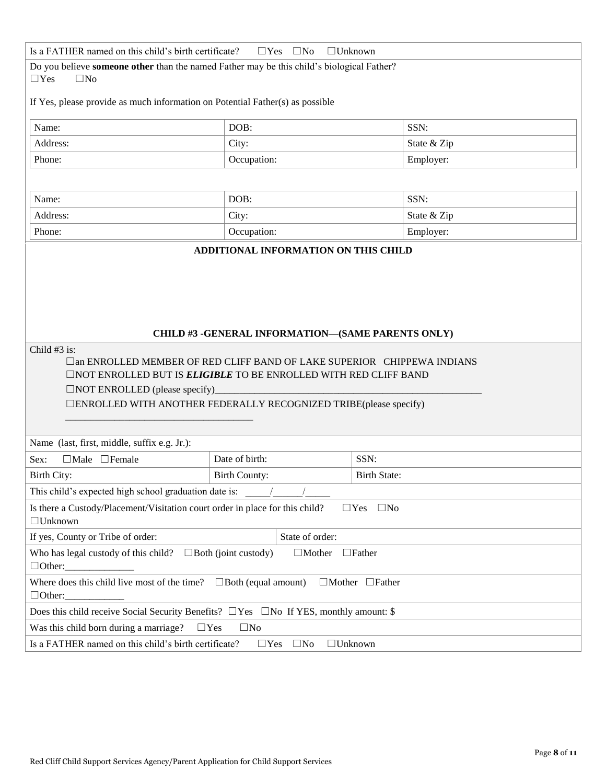| Is a FATHER named on this child's birth certificate?<br>$\Box$ Unknown<br>$\Box$ Yes<br>$\square$ No                                                                                                                                                                     |                                                   |                     |             |  |  |
|--------------------------------------------------------------------------------------------------------------------------------------------------------------------------------------------------------------------------------------------------------------------------|---------------------------------------------------|---------------------|-------------|--|--|
| Do you believe someone other than the named Father may be this child's biological Father?                                                                                                                                                                                |                                                   |                     |             |  |  |
| $\Box$ Yes<br>$\square$ No                                                                                                                                                                                                                                               |                                                   |                     |             |  |  |
| If Yes, please provide as much information on Potential Father(s) as possible                                                                                                                                                                                            |                                                   |                     |             |  |  |
| Name:                                                                                                                                                                                                                                                                    | DOB:                                              |                     | SSN:        |  |  |
| Address:                                                                                                                                                                                                                                                                 | City:                                             |                     | State & Zip |  |  |
| Phone:                                                                                                                                                                                                                                                                   | Occupation:                                       |                     | Employer:   |  |  |
|                                                                                                                                                                                                                                                                          |                                                   |                     |             |  |  |
| Name:                                                                                                                                                                                                                                                                    | DOB:                                              |                     | SSN:        |  |  |
| Address:                                                                                                                                                                                                                                                                 | City:                                             |                     | State & Zip |  |  |
| Phone:                                                                                                                                                                                                                                                                   | Occupation:                                       |                     | Employer:   |  |  |
|                                                                                                                                                                                                                                                                          | ADDITIONAL INFORMATION ON THIS CHILD              |                     |             |  |  |
|                                                                                                                                                                                                                                                                          | CHILD #3 -GENERAL INFORMATION-(SAME PARENTS ONLY) |                     |             |  |  |
|                                                                                                                                                                                                                                                                          |                                                   |                     |             |  |  |
| Child #3 is:<br>□an ENROLLED MEMBER OF RED CLIFF BAND OF LAKE SUPERIOR CHIPPEWA INDIANS<br>$\Box$ NOT ENROLLED BUT IS ELIGIBLE TO BE ENROLLED WITH RED CLIFF BAND<br>□NOT ENROLLED (please specify)<br>□ENROLLED WITH ANOTHER FEDERALLY RECOGNIZED TRIBE(please specify) |                                                   |                     |             |  |  |
| Name (last, first, middle, suffix e.g. Jr.):                                                                                                                                                                                                                             |                                                   |                     |             |  |  |
| Sex:<br>$\Box$ Male $\Box$ Female                                                                                                                                                                                                                                        | Date of birth:                                    | SSN:                |             |  |  |
| Birth City:                                                                                                                                                                                                                                                              | <b>Birth County:</b>                              | <b>Birth State:</b> |             |  |  |
| This child's expected high school graduation date is:                                                                                                                                                                                                                    |                                                   |                     |             |  |  |
| Is there a Custody/Placement/Visitation court order in place for this child?<br>$\square$ No<br>$\Box$ Yes<br>$\Box$ Unknown                                                                                                                                             |                                                   |                     |             |  |  |
| State of order:<br>If yes, County or Tribe of order:                                                                                                                                                                                                                     |                                                   |                     |             |  |  |
| Who has legal custody of this child? $\Box$ Both (joint custody)<br>$\Box$ Mother<br>$\Box$ Father<br>$\Box$ Other:                                                                                                                                                      |                                                   |                     |             |  |  |
| Where does this child live most of the time? $\Box$ Both (equal amount)<br>$\Box$ Mother $\Box$ Father<br>$\Box$ Other:                                                                                                                                                  |                                                   |                     |             |  |  |
| Does this child receive Social Security Benefits? $\Box$ Yes $\Box$ No If YES, monthly amount: \$                                                                                                                                                                        |                                                   |                     |             |  |  |
| Was this child born during a marriage?<br>$\square$ No<br>$\Box$ Yes                                                                                                                                                                                                     |                                                   |                     |             |  |  |
| Is a FATHER named on this child's birth certificate?<br>$\Box$ Unknown<br>$\Box$ Yes<br>$\square$ No                                                                                                                                                                     |                                                   |                     |             |  |  |
|                                                                                                                                                                                                                                                                          |                                                   |                     |             |  |  |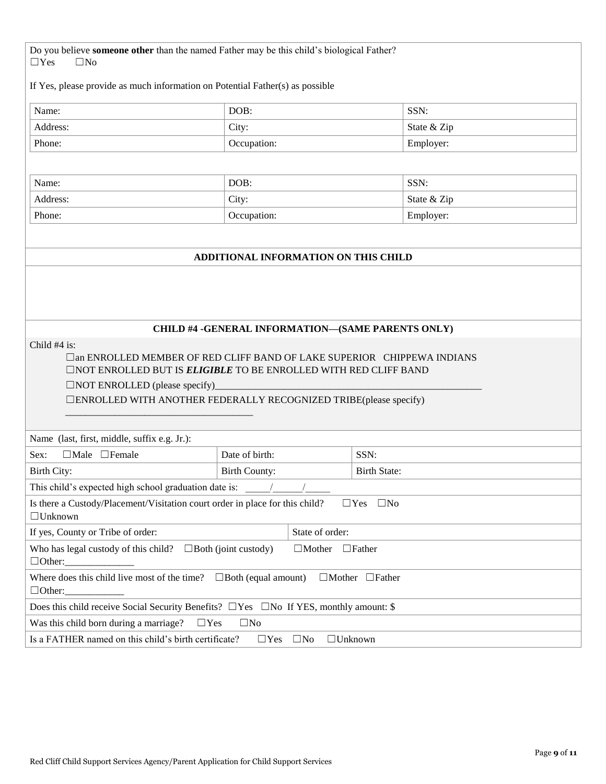Do you believe **someone other** than the named Father may be this child's biological Father?  $\Box$ Yes  $\Box$ No

If Yes, please provide as much information on Potential Father(s) as possible

| Name:    | DOB:        | SSN:        |
|----------|-------------|-------------|
| Address: | City:       | State & Zip |
| Phone:   | Occupation: | Employer:   |

| Name:    | DOB:        | SSN:        |
|----------|-------------|-------------|
| Address: | City:       | State & Zip |
| Phone:   | Occupation: | Employer:   |

### **ADDITIONAL INFORMATION ON THIS CHILD**

### **CHILD #4 -GENERAL INFORMATION—(SAME PARENTS ONLY)**

□an ENROLLED MEMBER OF RED CLIFF BAND OF LAKE SUPERIOR CHIPPEWA INDIANS ☐NOT ENROLLED BUT IS *ELIGIBLE* TO BE ENROLLED WITH RED CLIFF BAND

□NOT ENROLLED (please specify)

\_\_\_\_\_\_\_\_\_\_\_\_\_\_\_\_\_\_\_\_\_\_\_\_\_\_\_\_\_\_\_\_\_\_\_\_\_\_

☐ENROLLED WITH ANOTHER FEDERALLY RECOGNIZED TRIBE(please specify)

| Name (last, first, middle, suffix e.g. Jr.):                                                                            |                 |                             |                         |  |
|-------------------------------------------------------------------------------------------------------------------------|-----------------|-----------------------------|-------------------------|--|
| $\Box$ Male $\Box$ Female<br>Sex:                                                                                       | Date of birth:  |                             | SSN:                    |  |
| Birth City:                                                                                                             | Birth County:   |                             | <b>Birth State:</b>     |  |
| This child's expected high school graduation date is:                                                                   |                 |                             |                         |  |
| Is there a Custody/Placement/Visitation court order in place for this child?<br>$\Box$ Unknown                          |                 |                             | $\Box$ Yes<br>$\Box$ No |  |
| If yes, County or Tribe of order:                                                                                       | State of order: |                             |                         |  |
| Who has legal custody of this child? $\Box$ Both (joint custody)<br>$\Box$ Father<br>$\Box$ Mother<br>$\Box$ Other:     |                 |                             |                         |  |
| Where does this child live most of the time? $\Box$ Both (equal amount)<br>$\Box$ Mother $\Box$ Father<br>$\Box$ Other: |                 |                             |                         |  |
| Does this child receive Social Security Benefits? $\square$ Yes $\square$ No If YES, monthly amount: \$                 |                 |                             |                         |  |
| Was this child born during a marriage? $\Box$ Yes<br>$\Box$ No                                                          |                 |                             |                         |  |
| Is a FATHER named on this child's birth certificate?                                                                    | $\Box$ Yes      | $\Box$ Unknown<br>$\Box$ No |                         |  |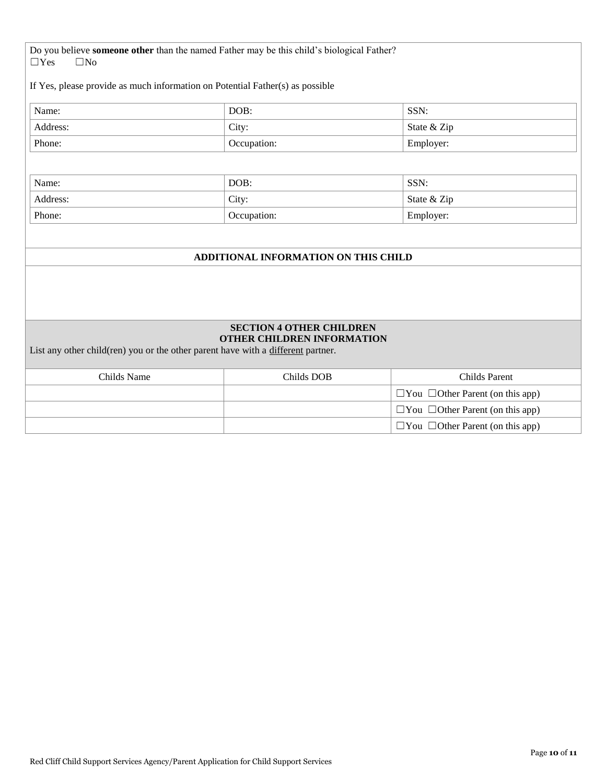Do you believe **someone other** than the named Father may be this child's biological Father? ☐Yes ☐No

If Yes, please provide as much information on Potential Father(s) as possible

| Name:    | DOB:        | SSN:        |
|----------|-------------|-------------|
| Address: | City:       | State & Zip |
| Phone:   | Occupation: | Employer:   |

| Name:    | DOB:        | SSN:        |
|----------|-------------|-------------|
| Address: | City:       | State & Zip |
| Phone:   | Occupation: | Employer:   |

### **ADDITIONAL INFORMATION ON THIS CHILD**

#### **SECTION 4 OTHER CHILDREN OTHER CHILDREN INFORMATION**

List any other child(ren) you or the other parent have with a different partner.

| Childs Name | Childs DOB | Childs Parent                                |
|-------------|------------|----------------------------------------------|
|             |            | $\Box$ You $\Box$ Other Parent (on this app) |
|             |            | $\Box$ You $\Box$ Other Parent (on this app) |
|             |            | $\Box$ You $\Box$ Other Parent (on this app) |